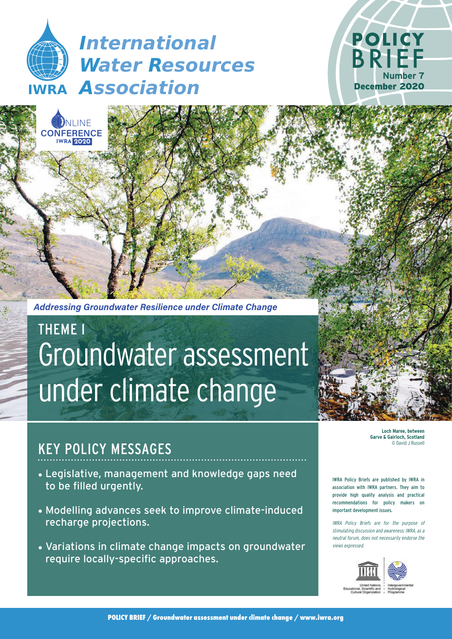# **IWRA** *Association International Water Resources*

**INF** 

**CONFERENCE IWRA 2020**



*Addressing Groundwater Resilience under Climate Change*

# Groundwater assessment under climate change THEME I

# KEY POLICY MESSAGES

- Legislative, management and knowledge gaps need to be filled urgently.
- Modelling advances seek to improve climate-induced recharge projections.
- Variations in climate change impacts on groundwater require locally-specific approaches.

**Loch Maree, between Garve & Gairloch, Scotland**  © David J Russe

IWRA Policy Briefs are published by IWRA in association with IWRA partners. They aim to provide high quality analysis and practical recommendations for policy makers on important development issues.

IWRA Policy Briefs are for the purpose of stimulating discussion and awareness; IWRA, as a neutral forum, does not necessarily endorse the views expressed.



**POLICY BRIEF / Groundwater assessment under climate change / [www.iwra.org](https://www.iwra.org)**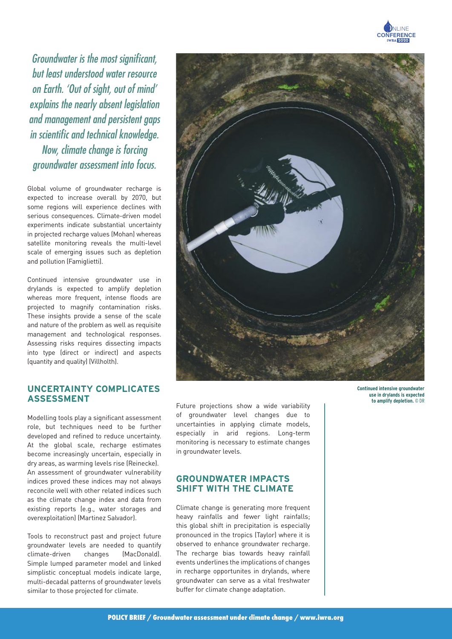

Groundwater is the most significant, but least understood water resource on Earth. 'Out of sight, out of mind' explains the nearly absent legislation and management and persistent gaps in scientific and technical knowledge. Now, climate change is forcing groundwater assessment into focus.

Global volume of groundwater recharge is expected to increase overall by 2070, but some regions will experience declines with serious consequences. Climate-driven model experiments indicate substantial uncertainty in projected recharge values (Mohan) whereas satellite monitoring reveals the multi-level scale of emerging issues such as depletion and pollution (Famiglietti).

Continued intensive groundwater use in drylands is expected to amplify depletion whereas more frequent, intense floods are projected to magnify contamination risks. These insights provide a sense of the scale and nature of the problem as well as requisite management and technological responses. Assessing risks requires dissecting impacts into type (direct or indirect) and aspects (quantity and quality) (Villholth).

### **UNCERTAINTY COMPLICATES ASSESSMENT**

Modelling tools play a significant assessment role, but techniques need to be further developed and refined to reduce uncertainty. At the global scale, recharge estimates become increasingly uncertain, especially in dry areas, as warming levels rise (Reinecke). An assessment of groundwater vulnerability indices proved these indices may not always reconcile well with other related indices such as the climate change index and data from existing reports (e.g., water storages and overexploitation) (Martinez Salvador).

Tools to reconstruct past and project future groundwater levels are needed to quantify climate-driven changes (MacDonald). Simple lumped parameter model and linked simplistic conceptual models indicate large, multi-decadal patterns of groundwater levels similar to those projected for climate.



Future projections show a wide variability of groundwater level changes due to uncertainties in applying climate models, especially in arid regions. Long-term monitoring is necessary to estimate changes in groundwater levels.

#### **GROUNDWATER IMPACTS SHIFT WITH THE CLIMATE**

Climate change is generating more frequent heavy rainfalls and fewer light rainfalls; this global shift in precipitation is especially pronounced in the tropics (Taylor) where it is observed to enhance groundwater recharge. The recharge bias towards heavy rainfall events underlines the implications of changes in recharge opportunites in drylands, where groundwater can serve as a vital freshwater buffer for climate change adaptation.

**Continued intensive groundwater use in drylands is expected to amplify depletion.** © DR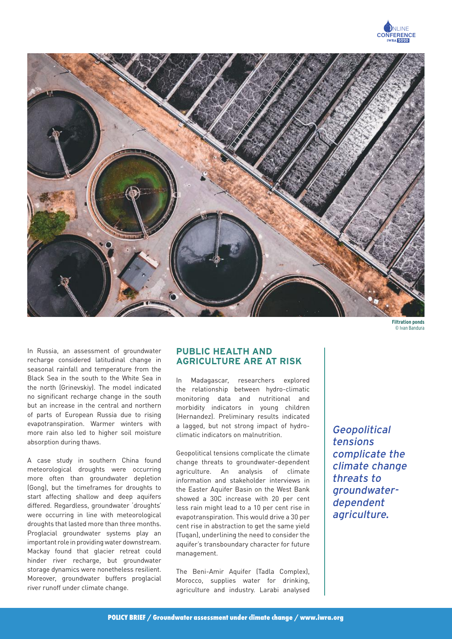



**Filtration ponds** © Ivan Bandura

In Russia, an assessment of groundwater recharge considered latitudinal change in seasonal rainfall and temperature from the Black Sea in the south to the White Sea in the north (Grinevskiy). The model indicated no significant recharge change in the south but an increase in the central and northern of parts of European Russia due to rising evapotranspiration. Warmer winters with more rain also led to higher soil moisture absorption during thaws.

A case study in southern China found meteorological droughts were occurring more often than groundwater depletion (Gong), but the timeframes for droughts to start affecting shallow and deep aquifers differed. Regardless, groundwater 'droughts' were occurring in line with meteorological droughts that lasted more than three months. Proglacial groundwater systems play an important role in providing water downstream. Mackay found that glacier retreat could hinder river recharge, but groundwater storage dynamics were nonetheless resilient. Moreover, groundwater buffers proglacial river runoff under climate change.

### **PUBLIC HEALTH AND AGRICULTURE ARE AT RISK**

In Madagascar, researchers explored the relationship between hydro-climatic monitoring data and nutritional and morbidity indicators in young children (Hernandez). Preliminary results indicated a lagged, but not strong impact of hydroclimatic indicators on malnutrition.

Geopolitical tensions complicate the climate change threats to groundwater-dependent agriculture. An analysis of climate information and stakeholder interviews in the Easter Aquifer Basin on the West Bank showed a 30C increase with 20 per cent less rain might lead to a 10 per cent rise in evapotranspiration. This would drive a 30 per cent rise in abstraction to get the same yield (Tuqan), underlining the need to consider the aquifer's transboundary character for future management.

The Beni-Amir Aquifer (Tadla Complex), Morocco, supplies water for drinking, agriculture and industry. Larabi analysed Geopolitical tensions complicate the climate change threats to groundwaterdependent agriculture.